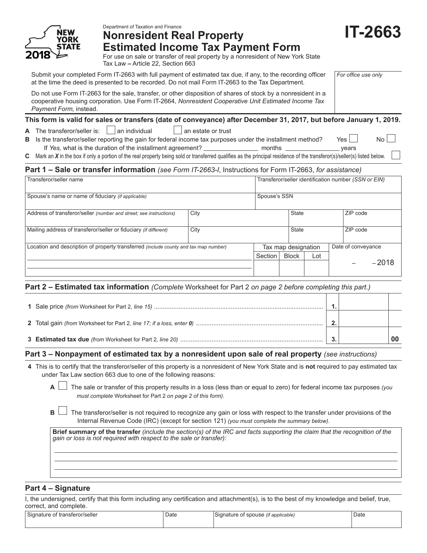

# Department of Taxation and Finance **Nonresident Real Property Estimated Income Tax Payment Form**

**IT-2663**

For use on sale or transfer of real property by a nonresident of New York State Tax Law **–** Article 22, Section 663

Submit your completed Form IT-2663 with full payment of estimated tax due, if any, to the recording officer at the time the deed is presented to be recorded. Do not mail Form IT-2663 to the Tax Department.

*For office use only*

Do not use Form IT-2663 for the sale, transfer, or other disposition of shares of stock by a nonresident in a cooperative housing corporation. Use Form IT-2664, *Nonresident Cooperative Unit Estimated Income Tax Payment Form,* instead.

## **This form is valid for sales or transfers (date of conveyance) after December 31, 2017, but before January 1, 2019.**

**A** The transferor/seller is:  $\Box$  an individual  $\Box$  an estate or trust

**B** Is the transferor/seller reporting the gain for federal income tax purposes under the installment method? Yes If *Yes,* what is the duration of the installment agreement? months years

**C** Mark an *X* in the box if only a portion of the real property being sold or transferred qualifies as the principal residence of the transferor(s)/seller(s) listed below.

# **Part 1 – Sale or transfer information** *(see Form IT-2663-I*, Instructions for Form IT-2663, *for assistance)*

| Transferor/seller name                                                               |      |              | Transferor/seller identification number (SSN or EIN) |              |          |          |         |  |
|--------------------------------------------------------------------------------------|------|--------------|------------------------------------------------------|--------------|----------|----------|---------|--|
| Spouse's name or name of fiduciary (if applicable)                                   |      |              | Spouse's SSN                                         |              |          |          |         |  |
| Address of transferor/seller (number and street; see instructions)                   | City | <b>State</b> |                                                      |              | ZIP code |          |         |  |
| Mailing address of transferor/seller or fiduciary (if different)                     | City |              |                                                      | <b>State</b> |          | ZIP code |         |  |
| Location and description of property transferred (include county and tax map number) |      |              | Date of conveyance<br>Tax map designation            |              |          |          |         |  |
|                                                                                      |      | Section      | <b>Block</b>                                         | Lot          |          |          |         |  |
|                                                                                      |      |              |                                                      |              |          |          | $-2018$ |  |

# **Part 2 – Estimated tax information** *(Complete* Worksheet for Part 2 *on page 2 before completing this part.)*

| ◠ |  |
|---|--|
| ◠ |  |

## **Part 3 – Nonpayment of estimated tax by a nonresident upon sale of real property** *(see instructions)*

- **4** This is to certify that the transferor/seller of this property is a nonresident of New York State and is **not** required to pay estimated tax under Tax Law section 663 due to one of the following reasons:
	- **A** The sale or transfer of this property results in a loss (less than or equal to zero) for federal income tax purposes *(you must complete* Worksheet for Part 2 *on page 2 of this form)*.
	- **B**  $\Box$  The transferor/seller is not required to recognize any gain or loss with respect to the transfer under provisions of the Internal Revenue Code (IRC) (except for section 121) *(you must complete the summary below)*.

**Brief summary of the transfer** *(include the section(s) of the IRC and facts supporting the claim that the recognition of the gain or loss is not required with respect to the sale or transfer):*

# **Part 4 – Signature**

I, the undersigned, certify that this form including any certification and attachment(s), is to the best of my knowledge and belief, true, correct, and complete.

| e of transferor/seller | Date | Signature of spouse <i>(if applicable)</i> | Date |
|------------------------|------|--------------------------------------------|------|
| Signature or a         |      |                                            | .    |
|                        |      |                                            |      |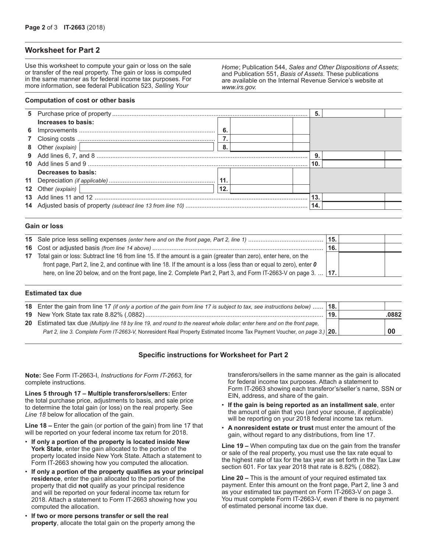## **Worksheet for Part 2**

Use this worksheet to compute your gain or loss on the sale or transfer of the real property. The gain or loss is computed in the same manner as for federal income tax purposes. For more information, see federal Publication 523, *Selling Your* 

*Home*; Publication 544, *Sales and Other Dispositions of Assets*; and Publication 551, *Basis of Assets*. These publications are available on the Internal Revenue Service's website at *www.irs.gov.*

#### **Computation of cost or other basis**

|                                                                                                                                               |      | 5.  |  |
|-----------------------------------------------------------------------------------------------------------------------------------------------|------|-----|--|
| Increases to basis:                                                                                                                           |      |     |  |
|                                                                                                                                               | - 6. |     |  |
|                                                                                                                                               |      |     |  |
| 8 Other (explain)   2009   2010   2020   2021   2021   2021   2021   2021   2021   2021   2021   2021   2021                                  | -8.  |     |  |
|                                                                                                                                               |      |     |  |
|                                                                                                                                               |      | 10. |  |
| Decreases to basis:                                                                                                                           |      |     |  |
|                                                                                                                                               | 11.  |     |  |
| 12 Other (explain)  <br><u> 1980 - Jan Samuel Barbara, político establecer a la provincia de la provincia de la provincia de la provincia</u> | 12.  |     |  |
|                                                                                                                                               |      | 13. |  |
|                                                                                                                                               |      |     |  |
|                                                                                                                                               |      |     |  |

#### **Gain or loss**

|                                                                                                                       | 15. |  |
|-----------------------------------------------------------------------------------------------------------------------|-----|--|
|                                                                                                                       | 16. |  |
| 17 Total gain or loss: Subtract line 16 from line 15. If the amount is a gain (greater than zero), enter here, on the |     |  |
| front page, Part 2, line 2, and continue with line 18. If the amount is a loss (less than or equal to zero), enter 0  |     |  |
| here, on line 20 below, and on the front page, line 2. Complete Part 2, Part 3, and Form IT-2663-V on page 3.   17.   |     |  |
|                                                                                                                       |     |  |

#### **Estimated tax due**

| 18. Enter the gain from line 17 (if only a portion of the gain from line 17 is subject to tax, see instructions below)  18. |                |       |
|-----------------------------------------------------------------------------------------------------------------------------|----------------|-------|
|                                                                                                                             | $^{\circ}$ 19. | .0882 |
| 20 Estimated tax due (Multiply line 18 by line 19, and round to the nearest whole dollar; enter here and on the front page, |                |       |
| Part 2, line 3. Complete Form IT-2663-V, Nonresident Real Property Estimated Income Tax Payment Voucher, on page 3.) 20.    |                | 00    |

## **Specific instructions for Worksheet for Part 2**

**Note:** See Form IT-2663-I, *Instructions for Form IT-2663*, for complete instructions.

**Lines 5 through 17 – Multiple transferors/sellers:** Enter the total purchase price, adjustments to basis, and sale price to determine the total gain (or loss) on the real property. See *Line 18* below for allocation of the gain.

**Line 18 –** Enter the gain (or portion of the gain) from line 17 that will be reported on your federal income tax return for 2018.

- **If only a portion of the property is located inside New York State**, enter the gain allocated to the portion of the property located inside New York State. Attach a statement to Form IT-2663 showing how you computed the allocation.
- **If only a portion of the property qualifies as your principal residence**, enter the gain allocated to the portion of the property that did **not** qualify as your principal residence and will be reported on your federal income tax return for 2018. Attach a statement to Form IT-2663 showing how you computed the allocation.
- **If two or more persons transfer or sell the real property**, allocate the total gain on the property among the

transferors/sellers in the same manner as the gain is allocated for federal income tax purposes. Attach a statement to Form IT-2663 showing each transferor's/seller's name, SSN or EIN, address, and share of the gain.

- **If the gain is being reported as an installment sale**, enter the amount of gain that you (and your spouse, if applicable) will be reporting on your 2018 federal income tax return.
- **A nonresident estate or trust** must enter the amount of the gain, without regard to any distributions, from line 17.

**Line 19 –** When computing tax due on the gain from the transfer or sale of the real property, you must use the tax rate equal to the highest rate of tax for the tax year as set forth in the Tax Law section 601. For tax year 2018 that rate is 8.82% (.0882).

**Line 20 –** This is the amount of your required estimated tax payment. Enter this amount on the front page, Part 2, line 3 and as your estimated tax payment on Form IT-2663-V on page 3. You must complete Form IT‑2663‑V, even if there is no payment of estimated personal income tax due.